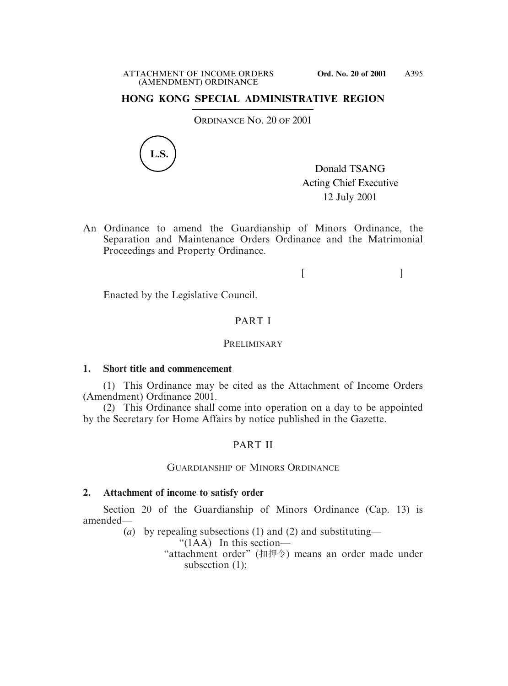## **HONG KONG SPECIAL ADMINISTRATIVE REGION**

ORDINANCE NO. 20 OF 2001



Donald TSANG Acting Chief Executive 12 July 2001

An Ordinance to amend the Guardianship of Minors Ordinance, the Separation and Maintenance Orders Ordinance and the Matrimonial Proceedings and Property Ordinance.

 $[$   $]$ 

Enacted by the Legislative Council.

### PART I

#### **PRELIMINARY**

#### **1. Short title and commencement**

(1) This Ordinance may be cited as the Attachment of Income Orders (Amendment) Ordinance 2001.

(2) This Ordinance shall come into operation on a day to be appointed by the Secretary for Home Affairs by notice published in the Gazette.

### PART II

#### GUARDIANSHIP OF MINORS ORDINANCE

#### **2. Attachment of income to satisfy order**

Section 20 of the Guardianship of Minors Ordinance (Cap. 13) is amended—

(*a*) by repealing subsections (1) and (2) and substituting—

" $(1AA)$  In this section—

"attachment order" (扣押令) means an order made under subsection (1);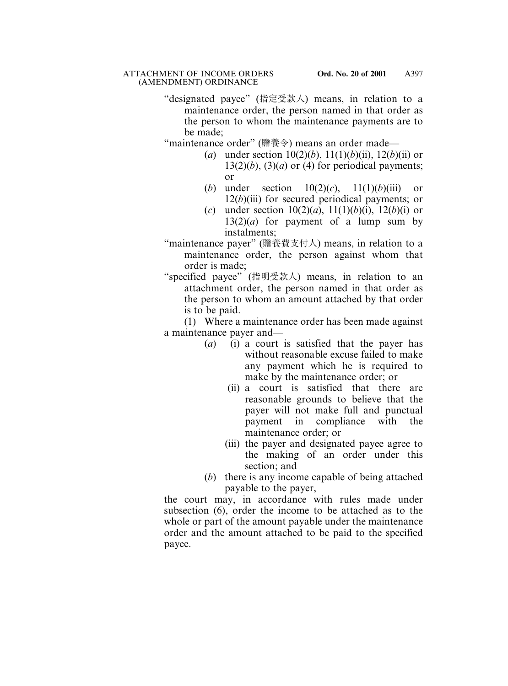"designated payee" (指定受款人) means, in relation to a maintenance order, the person named in that order as the person to whom the maintenance payments are to be made;

"maintenance order" (贍養令) means an order made—

- (*a*) under section  $10(2)(b)$ ,  $11(1)(b)(ii)$ ,  $12(b)(ii)$  or  $13(2)(b)$ ,  $(3)(a)$  or  $(4)$  for periodical payments; or
- (*b*) under section 10(2)(*c*), 11(1)(*b*)(iii) or 12(*b*)(iii) for secured periodical payments; or
- (*c*) under section  $10(2)(a)$ ,  $11(1)(b)(i)$ ,  $12(b)(i)$  or  $13(2)(a)$  for payment of a lump sum by instalments;
- "maintenance payer" (贍養費支付人) means, in relation to a maintenance order, the person against whom that order is made;
- "specified payee" (指明受款人) means, in relation to an attachment order, the person named in that order as the person to whom an amount attached by that order is to be paid.

(1) Where a maintenance order has been made against a maintenance payer and—

- (*a*) (i) a court is satisfied that the payer has without reasonable excuse failed to make any payment which he is required to make by the maintenance order; or
	- (ii) a court is satisfied that there are reasonable grounds to believe that the payer will not make full and punctual payment in compliance with the maintenance order; or
	- (iii) the payer and designated payee agree to the making of an order under this section; and
- (*b*) there is any income capable of being attached payable to the payer,

the court may, in accordance with rules made under subsection (6), order the income to be attached as to the whole or part of the amount payable under the maintenance order and the amount attached to be paid to the specified payee.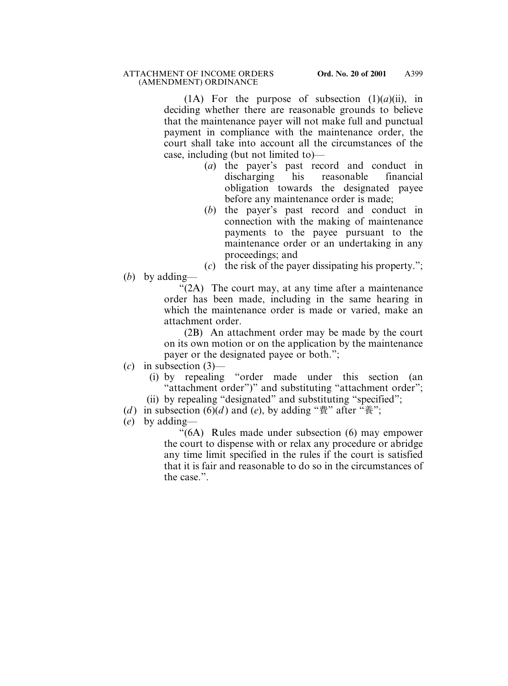(1A) For the purpose of subsection  $(1)(a)(ii)$ , in deciding whether there are reasonable grounds to believe that the maintenance payer will not make full and punctual payment in compliance with the maintenance order, the court shall take into account all the circumstances of the case, including (but not limited to)—

- (*a*) the payer's past record and conduct in discharging his reasonable financial obligation towards the designated payee before any maintenance order is made;
- (*b*) the payer's past record and conduct in connection with the making of maintenance payments to the payee pursuant to the maintenance order or an undertaking in any proceedings; and

(*c*) the risk of the payer dissipating his property.";

(*b*) by adding—

"(2A) The court may, at any time after a maintenance order has been made, including in the same hearing in which the maintenance order is made or varied, make an attachment order.

(2B) An attachment order may be made by the court on its own motion or on the application by the maintenance payer or the designated payee or both.";

- (*c*) in subsection (3)—
	- (i) by repealing "order made under this section (an "attachment order")" and substituting "attachment order";
	- (ii) by repealing "designated" and substituting "specified";
- (*d*) in subsection (6)(*d*) and (*e*), by adding " $\ddot{\mathbf{g}}$ " after " $\ddot{\mathbf{g}}$ ";
- (*e*) by adding—

"(6A) Rules made under subsection (6) may empower the court to dispense with or relax any procedure or abridge any time limit specified in the rules if the court is satisfied that it is fair and reasonable to do so in the circumstances of the case.".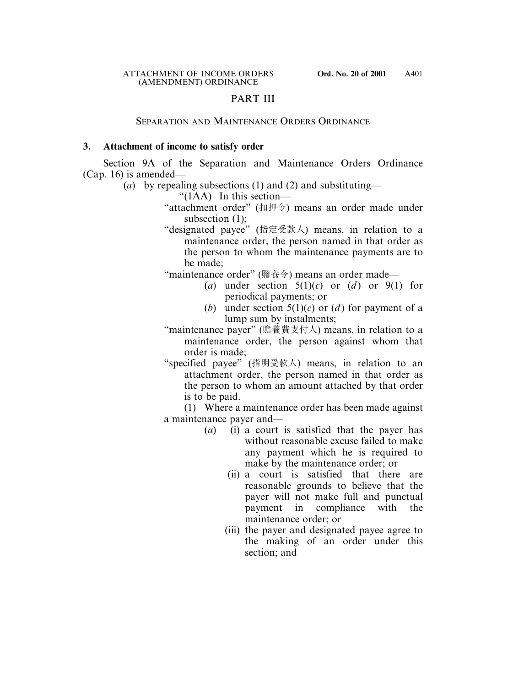## PART III

#### SEPARATION AND MAINTENANCE ORDERS ORDINANCE

#### **3. Attachment of income to satisfy order**

Section 9A of the Separation and Maintenance Orders Ordinance (Cap. 16) is amended—

- (*a*) by repealing subsections (1) and (2) and substituting—
	- " $(1AA)$  In this section—
	- "attachment order" (扣押令) means an order made under subsection (1);
	- "designated payee" (指定受款人) means, in relation to a maintenance order, the person named in that order as the person to whom the maintenance payments are to be made;

"maintenance order" (贍養令) means an order made—

- (*a*) under section  $5(1)(c)$  or (*d*) or 9(1) for periodical payments; or
- (*b*) under section  $5(1)(c)$  or (*d*) for payment of a lump sum by instalments;
- "maintenance payer" (贍養費支付人) means, in relation to a maintenance order, the person against whom that order is made;
- "specified payee" (指明受款人) means, in relation to an attachment order, the person named in that order as the person to whom an amount attached by that order is to be paid.

(1) Where a maintenance order has been made against a maintenance payer and—

- (*a*) (i) a court is satisfied that the payer has without reasonable excuse failed to make any payment which he is required to make by the maintenance order; or
	- (ii) a court is satisfied that there are reasonable grounds to believe that the payer will not make full and punctual payment in compliance with the maintenance order; or
	- (iii) the payer and designated payee agree to the making of an order under this section; and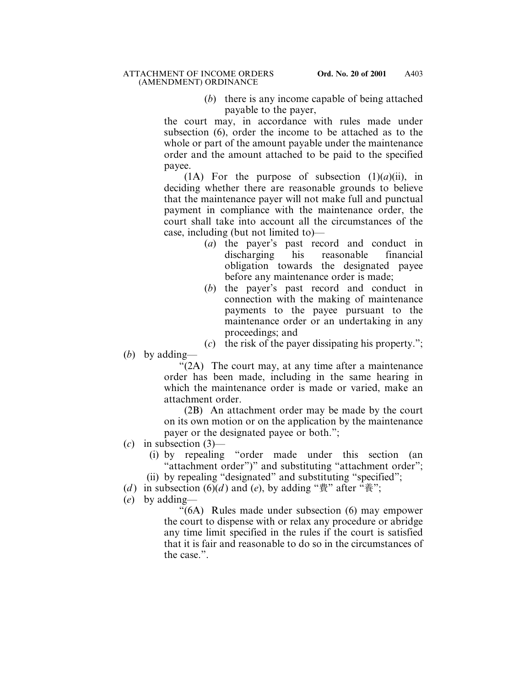(*b*) there is any income capable of being attached payable to the payer,

the court may, in accordance with rules made under subsection (6), order the income to be attached as to the whole or part of the amount payable under the maintenance order and the amount attached to be paid to the specified payee.

(1A) For the purpose of subsection  $(1)(a)(ii)$ , in deciding whether there are reasonable grounds to believe that the maintenance payer will not make full and punctual payment in compliance with the maintenance order, the court shall take into account all the circumstances of the case, including (but not limited to)—

- (*a*) the payer's past record and conduct in discharging his reasonable financial obligation towards the designated payee before any maintenance order is made;
- (*b*) the payer's past record and conduct in connection with the making of maintenance payments to the payee pursuant to the maintenance order or an undertaking in any proceedings; and
- (*c*) the risk of the payer dissipating his property.";
- (*b*) by adding—

"(2A) The court may, at any time after a maintenance order has been made, including in the same hearing in which the maintenance order is made or varied, make an attachment order.

(2B) An attachment order may be made by the court on its own motion or on the application by the maintenance payer or the designated payee or both.";

- (*c*) in subsection (3)—
	- (i) by repealing "order made under this section (an "attachment order")" and substituting "attachment order";
	- (ii) by repealing "designated" and substituting "specified";
- (*d*) in subsection (6)(*d*) and (*e*), by adding " $\ddot{\mathbf{g}}$ " after " $\ddot{\mathbf{g}}$ ";
- (*e*) by adding—

"(6A) Rules made under subsection (6) may empower the court to dispense with or relax any procedure or abridge any time limit specified in the rules if the court is satisfied that it is fair and reasonable to do so in the circumstances of the case.".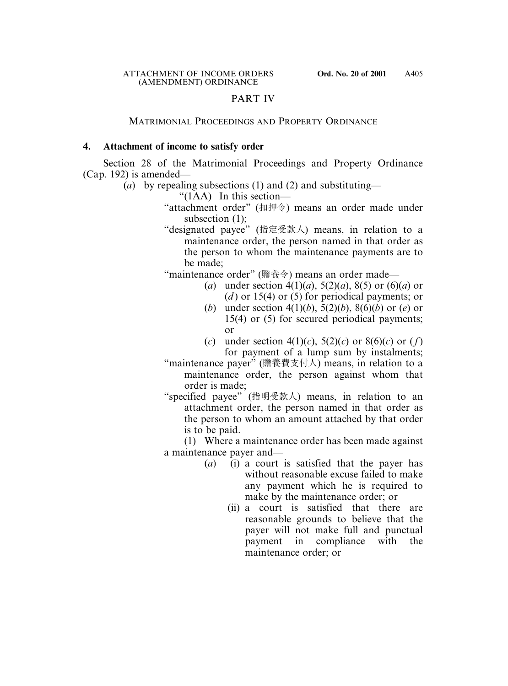## PART IV

### MATRIMONIAL PROCEEDINGS AND PROPERTY ORDINANCE

### **4. Attachment of income to satisfy order**

Section 28 of the Matrimonial Proceedings and Property Ordinance (Cap. 192) is amended—

- (*a*) by repealing subsections (1) and (2) and substituting—
	- " $(1AA)$  In this section—
	- "attachment order" (扣押令) means an order made under subsection (1);
	- "designated payee" (指定受款人) means, in relation to a maintenance order, the person named in that order as the person to whom the maintenance payments are to be made;

"maintenance order" (贍養令) means an order made—

- (*a*) under section 4(1)(*a*), 5(2)(*a*), 8(5) or (6)(*a*) or (*d* ) or 15(4) or (5) for periodical payments; or
- (*b*) under section 4(1)(*b*), 5(2)(*b*), 8(6)(*b*) or (*e*) or 15(4) or (5) for secured periodical payments; or
- (*c*) under section 4(1)(*c*), 5(2)(*c*) or 8(6)(*c*) or (*f*) for payment of a lump sum by instalments;

"maintenance payer" (贍養費支付人) means, in relation to a maintenance order, the person against whom that order is made;

"specified payee" (指明受款人) means, in relation to an attachment order, the person named in that order as the person to whom an amount attached by that order is to be paid.

(1) Where a maintenance order has been made against a maintenance payer and—

- (*a*) (i) a court is satisfied that the payer has without reasonable excuse failed to make any payment which he is required to make by the maintenance order; or
	- (ii) a court is satisfied that there are reasonable grounds to believe that the payer will not make full and punctual payment in compliance with the maintenance order; or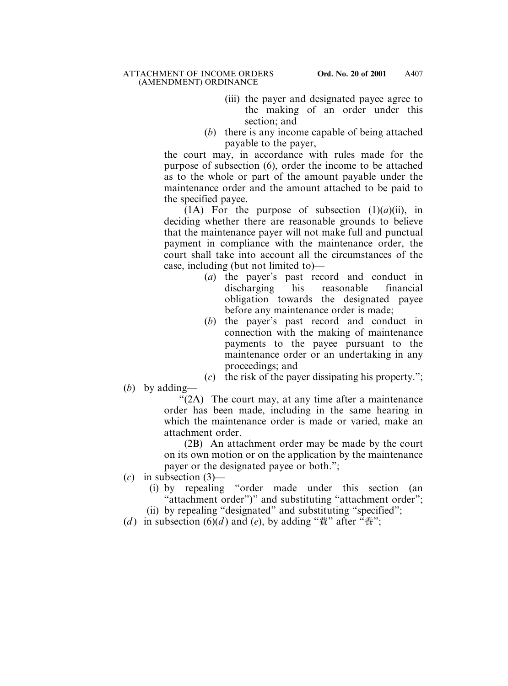- (iii) the payer and designated payee agree to the making of an order under this section; and
- (*b*) there is any income capable of being attached payable to the payer,

the court may, in accordance with rules made for the purpose of subsection (6), order the income to be attached as to the whole or part of the amount payable under the maintenance order and the amount attached to be paid to the specified payee.

(1A) For the purpose of subsection  $(1)(a)(ii)$ , in deciding whether there are reasonable grounds to believe that the maintenance payer will not make full and punctual payment in compliance with the maintenance order, the court shall take into account all the circumstances of the case, including (but not limited to)—

- (*a*) the payer's past record and conduct in discharging his reasonable financial obligation towards the designated payee before any maintenance order is made;
- (*b*) the payer's past record and conduct in connection with the making of maintenance payments to the payee pursuant to the maintenance order or an undertaking in any proceedings; and
- (*c*) the risk of the payer dissipating his property.";
- (*b*) by adding—

"(2A) The court may, at any time after a maintenance order has been made, including in the same hearing in which the maintenance order is made or varied, make an attachment order.

(2B) An attachment order may be made by the court on its own motion or on the application by the maintenance payer or the designated payee or both.";

(*c*) in subsection (3)—

(i) by repealing "order made under this section (an "attachment order")" and substituting "attachment order";

(ii) by repealing "designated" and substituting "specified";

(*d*) in subsection (6)(*d*) and (*e*), by adding " $\ddot{\mathbf{g}}$ " after " $\ddot{\mathbf{g}}$ ";